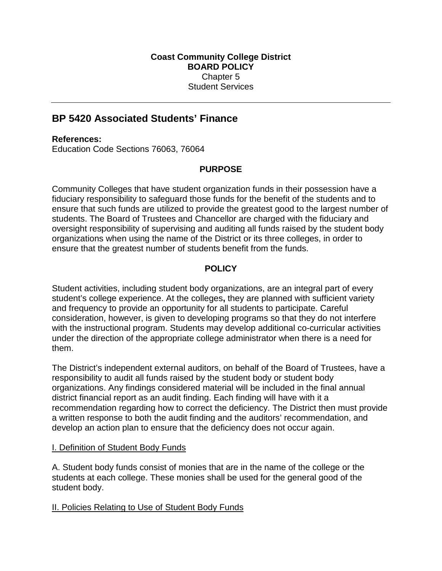# **BP 5420 Associated Students' Finance**

### **References:**

Education Code Sections 76063, 76064

### **PURPOSE**

Community Colleges that have student organization funds in their possession have a fiduciary responsibility to safeguard those funds for the benefit of the students and to ensure that such funds are utilized to provide the greatest good to the largest number of students. The Board of Trustees and Chancellor are charged with the fiduciary and oversight responsibility of supervising and auditing all funds raised by the student body organizations when using the name of the District or its three colleges, in order to ensure that the greatest number of students benefit from the funds.

## **POLICY**

Student activities, including student body organizations, are an integral part of every student's college experience. At the colleges**,** they are planned with sufficient variety and frequency to provide an opportunity for all students to participate. Careful consideration, however, is given to developing programs so that they do not interfere with the instructional program. Students may develop additional co-curricular activities under the direction of the appropriate college administrator when there is a need for them.

The District's independent external auditors, on behalf of the Board of Trustees, have a responsibility to audit all funds raised by the student body or student body organizations. Any findings considered material will be included in the final annual district financial report as an audit finding. Each finding will have with it a recommendation regarding how to correct the deficiency. The District then must provide a written response to both the audit finding and the auditors' recommendation, and develop an action plan to ensure that the deficiency does not occur again.

### I. Definition of Student Body Funds

A. Student body funds consist of monies that are in the name of the college or the students at each college. These monies shall be used for the general good of the student body.

#### II. Policies Relating to Use of Student Body Funds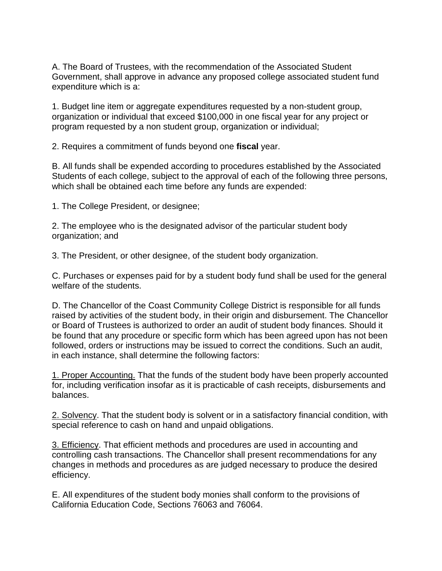A. The Board of Trustees, with the recommendation of the Associated Student Government, shall approve in advance any proposed college associated student fund expenditure which is a:

1. Budget line item or aggregate expenditures requested by a non-student group, organization or individual that exceed \$100,000 in one fiscal year for any project or program requested by a non student group, organization or individual;

2. Requires a commitment of funds beyond one **fiscal** year.

B. All funds shall be expended according to procedures established by the Associated Students of each college, subject to the approval of each of the following three persons, which shall be obtained each time before any funds are expended:

1. The College President, or designee;

2. The employee who is the designated advisor of the particular student body organization; and

3. The President, or other designee, of the student body organization.

C. Purchases or expenses paid for by a student body fund shall be used for the general welfare of the students.

D. The Chancellor of the Coast Community College District is responsible for all funds raised by activities of the student body, in their origin and disbursement. The Chancellor or Board of Trustees is authorized to order an audit of student body finances. Should it be found that any procedure or specific form which has been agreed upon has not been followed, orders or instructions may be issued to correct the conditions. Such an audit, in each instance, shall determine the following factors:

1. Proper Accounting. That the funds of the student body have been properly accounted for, including verification insofar as it is practicable of cash receipts, disbursements and balances.

2. Solvency. That the student body is solvent or in a satisfactory financial condition, with special reference to cash on hand and unpaid obligations.

3. Efficiency. That efficient methods and procedures are used in accounting and controlling cash transactions. The Chancellor shall present recommendations for any changes in methods and procedures as are judged necessary to produce the desired efficiency.

E. All expenditures of the student body monies shall conform to the provisions of California Education Code, Sections 76063 and 76064.